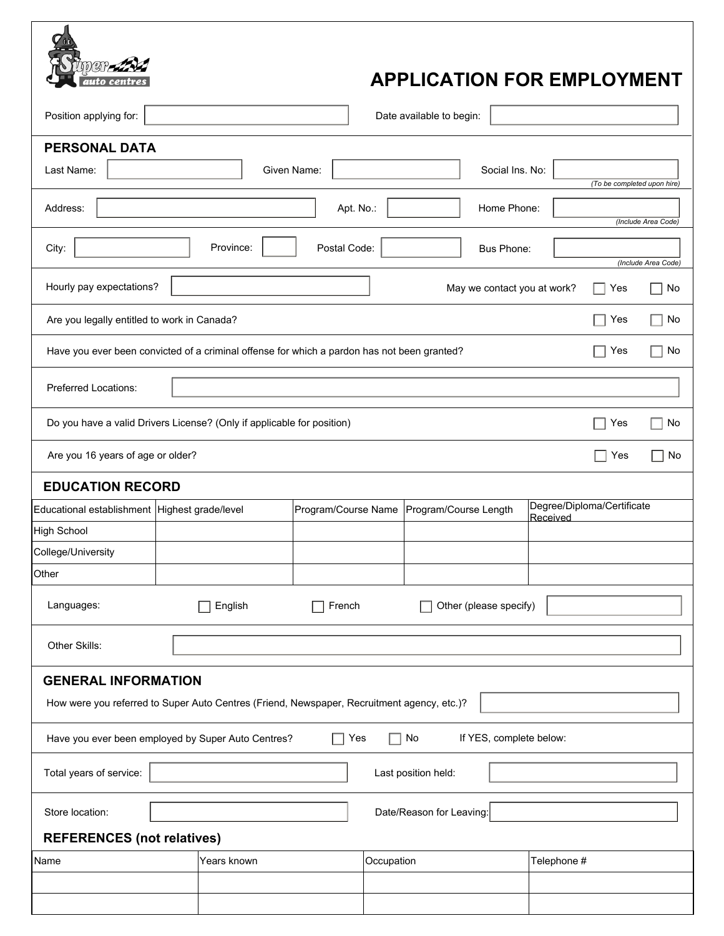## **APPLICATION FOR EMPLOYMENT**

| Position applying for:                                                                                   |                                                                                            |              | Date available to begin:                    |                                        |                             |                     |  |  |  |  |  |
|----------------------------------------------------------------------------------------------------------|--------------------------------------------------------------------------------------------|--------------|---------------------------------------------|----------------------------------------|-----------------------------|---------------------|--|--|--|--|--|
| <b>PERSONAL DATA</b>                                                                                     |                                                                                            |              |                                             |                                        |                             |                     |  |  |  |  |  |
| Last Name:                                                                                               |                                                                                            | Given Name:  | Social Ins. No:                             |                                        |                             |                     |  |  |  |  |  |
|                                                                                                          |                                                                                            |              |                                             |                                        | (To be completed upon hire) |                     |  |  |  |  |  |
| Address:                                                                                                 |                                                                                            | Apt. No.:    | Home Phone:                                 |                                        |                             | (Include Area Code) |  |  |  |  |  |
| City:                                                                                                    | Province:                                                                                  | Postal Code: | Bus Phone:                                  |                                        |                             | (Include Area Code) |  |  |  |  |  |
| Hourly pay expectations?                                                                                 |                                                                                            |              | May we contact you at work?                 |                                        | Yes                         | No                  |  |  |  |  |  |
| Are you legally entitled to work in Canada?                                                              |                                                                                            |              |                                             |                                        | Yes                         | No                  |  |  |  |  |  |
| Have you ever been convicted of a criminal offense for which a pardon has not been granted?<br>Yes<br>No |                                                                                            |              |                                             |                                        |                             |                     |  |  |  |  |  |
| <b>Preferred Locations:</b>                                                                              |                                                                                            |              |                                             |                                        |                             |                     |  |  |  |  |  |
| Do you have a valid Drivers License? (Only if applicable for position)<br>Yes<br>No                      |                                                                                            |              |                                             |                                        |                             |                     |  |  |  |  |  |
| Are you 16 years of age or older?<br>Yes<br>No                                                           |                                                                                            |              |                                             |                                        |                             |                     |  |  |  |  |  |
| <b>EDUCATION RECORD</b>                                                                                  |                                                                                            |              |                                             |                                        |                             |                     |  |  |  |  |  |
| Educational establishment Highest grade/level                                                            |                                                                                            |              | Program/Course Name   Program/Course Length | Degree/Diploma/Certificate<br>Received |                             |                     |  |  |  |  |  |
| <b>High School</b>                                                                                       |                                                                                            |              |                                             |                                        |                             |                     |  |  |  |  |  |
| College/University                                                                                       |                                                                                            |              |                                             |                                        |                             |                     |  |  |  |  |  |
| Other                                                                                                    |                                                                                            |              |                                             |                                        |                             |                     |  |  |  |  |  |
| Languages:                                                                                               | English                                                                                    | French       | Other (please specify)                      |                                        |                             |                     |  |  |  |  |  |
| Other Skills:                                                                                            |                                                                                            |              |                                             |                                        |                             |                     |  |  |  |  |  |
| <b>GENERAL INFORMATION</b>                                                                               |                                                                                            |              |                                             |                                        |                             |                     |  |  |  |  |  |
|                                                                                                          | How were you referred to Super Auto Centres (Friend, Newspaper, Recruitment agency, etc.)? |              |                                             |                                        |                             |                     |  |  |  |  |  |
|                                                                                                          | Have you ever been employed by Super Auto Centres?                                         | Yes          | No<br>If YES, complete below:<br>$\Box$     |                                        |                             |                     |  |  |  |  |  |
| Total years of service:<br>Last position held:                                                           |                                                                                            |              |                                             |                                        |                             |                     |  |  |  |  |  |
| Store location:                                                                                          |                                                                                            |              | Date/Reason for Leaving:                    |                                        |                             |                     |  |  |  |  |  |
| <b>REFERENCES</b> (not relatives)                                                                        |                                                                                            |              |                                             |                                        |                             |                     |  |  |  |  |  |
| Name                                                                                                     | Years known                                                                                | Occupation   |                                             | Telephone #                            |                             |                     |  |  |  |  |  |
|                                                                                                          |                                                                                            |              |                                             |                                        |                             |                     |  |  |  |  |  |
|                                                                                                          |                                                                                            |              |                                             |                                        |                             |                     |  |  |  |  |  |

o centre